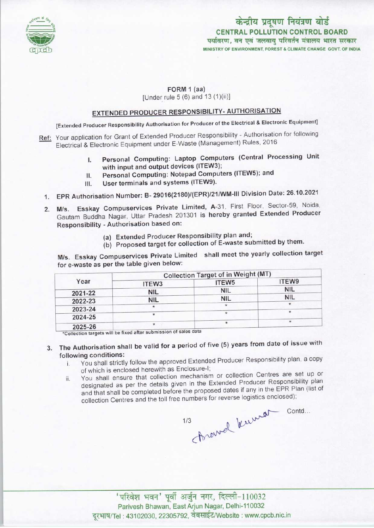

# केन्द्रीय प्रदूषण नियंत्रण बोर्ड CENTRAL POLLUTION CONTROL BOARD<br>पर्यावरण, वन एवं जलवाय परिवर्तन मंत्रालय भारत सरकार MINISTRY OF ENVIRONMENT, FOREST & CLIMATE CHANGE GOVT. OF INDIA

#### FORM 1 (aa)

[Under rule 5 (6) and 13 (1)(ii)]

### EXTENDED PRODUCER RESPONSIBILITY- AUTHORISATION

[Extended Producer Responsibility Authorisation for Producer of the Electrical & Electronic Equipment]

- Ref: Your application for Grant of Extended Producer Responsibility Authorisation for following Electrical & Electronic Equipment under E-Waste (Management) Rules, 2016
	- I. Personal Computing: Laptop Computers (Central Processing Unit with input and output devices (ITEW3);
	- II. Personal Computing: Notepad Computers (ITEW5); and<br>III. User terminals and systems (ITEW9).
	- User terminals and systems (ITEW9).
	- 1.EPR Authorisation Number: B- 29016(2180)/(EPR)/21/WM-lll Division Date: 26.10.2021
	- 2.M/s. Esskay Compuservices Private Limited, A-31, First Floor, Sector-59, Noida. Gautam Buddha Nagar, Uttar Pradesh 201301 is hereby granted Extended Producer Responsibility - Authorisation based on:
		- (a) Extended Producer Responsibility plan and;
		- (b) Proposed target for collection of E-waste submitted by them.

M/s. Esskay Compuservices Private Limited shall meet the yearly collection target for e-waste as per the table given below:

| Year    | <b>Collection Target of in Weight (MT)</b>                                                                                                                                                                                     |            |            |
|---------|--------------------------------------------------------------------------------------------------------------------------------------------------------------------------------------------------------------------------------|------------|------------|
|         | ITEW <sub>3</sub>                                                                                                                                                                                                              | ITEW5      | ITEW9      |
| 2021-22 | <b>NIL</b>                                                                                                                                                                                                                     | <b>NIL</b> | <b>NIL</b> |
| 2022-23 | <b>NIL</b>                                                                                                                                                                                                                     | <b>NIL</b> | <b>NIL</b> |
| 2023-24 |                                                                                                                                                                                                                                | $\star$    |            |
| 2024-25 | $\star$                                                                                                                                                                                                                        |            | $\star$    |
|         | $*$                                                                                                                                                                                                                            |            | $\star$    |
| 2025-26 | and the second control of the second second second second second second second second second second second second second second second second second second second second second second second second second second second sec |            |            |

be fixed after submission of sales data •Collection targets wll

## 3. The Authorisation shall be valid for a period of five (5) years from date of issue with following conditions:

- i. You shall strictly follow the approved Extended Producer Responsibility plan, a copy of which is enclosed herewith as Enclosure-I;
- ii. You shall ensure that collection mechanism or collection Centres are set up or designated as per the details given in the Extended Producer Responsibility plan and that shall be completed before the proposed dates if any in the EPR Plan (list of collection Centres and the toll free numbers for reverse logistics enclosed); Arewel known contd...

 $1/3$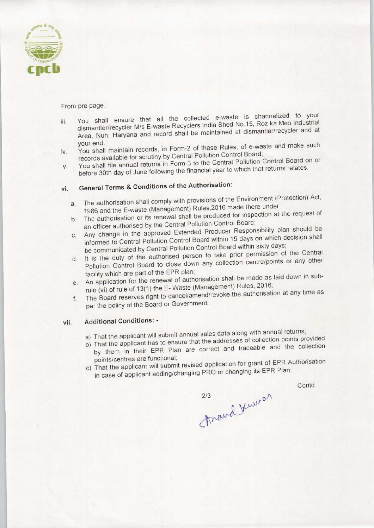

From pre page...

- iii. You shall ensure that all the collected e-waste is channelized to your dismantler/recycler M/s E-waste Recyclers India Shed No,15, Roz ka Meo Industrial Area, Nuh, Haryana and record shall be maintained at dismantler/recycler and at your end. iv. You shall maintain records, in Form-2 of these Rules, of e-waste and make such
- records available for scrutiny by Central Pollution Control Board;
- iv. You shall maintain records, in Form-2 of these Kulco, or control Board;<br>records available for scrutiny by Central Pollution Control Board;<br>v. You shall file annual returns in Form-3 to the Central Pollution Control Boa before 30th day of June following the financial year to which that returns relates.

## vi. General Terms & Conditions of the Authorisation:

- a. The authorisation shall comply with provisions of the Environment (Protection) Act, 1986 and the E-waste (Management) Rules,2016 made there under;
- b.The authorisation or its renewal shall be produced for inspection at the request of an officer authorised by the Central Pollution Control Board;
- c.Any change in the approved Extended Producer Responsibility plan should be informed to Central Pollution Control Board within 15 days on which decision shall be communicated by Central Pollution Control Board within sixty days;
- d. It is the duty of the authorised person to take prior permission of the Central Pollution Control Board to close down any collection centre/points or any other facility which are part of the EPR plan;
- e. An application for the renewal of authorisation shall be made as laid down in subrule (vi) of rule of 13(1) the E-Waste (Management) Rules, 2016;
- f. The Board reserves right to cancel/amend/revoke the authorisation at any time as per the policy of the Board or Government.

#### vii. Additional Conditions: -

- a) That the applicant will submit annual sales data along with annual returns;
- b) That the applicant has to ensure that the addresses of collection points provided by them in their EPR Plan are correct and traceable and the collection points/centres are functional;
- c) That the applicant will submit revised application for grant of EPR Authorisation in case of applicant adding/changing PRO or changing its EPR Plan;

**Contd** 

Travel Kurrer